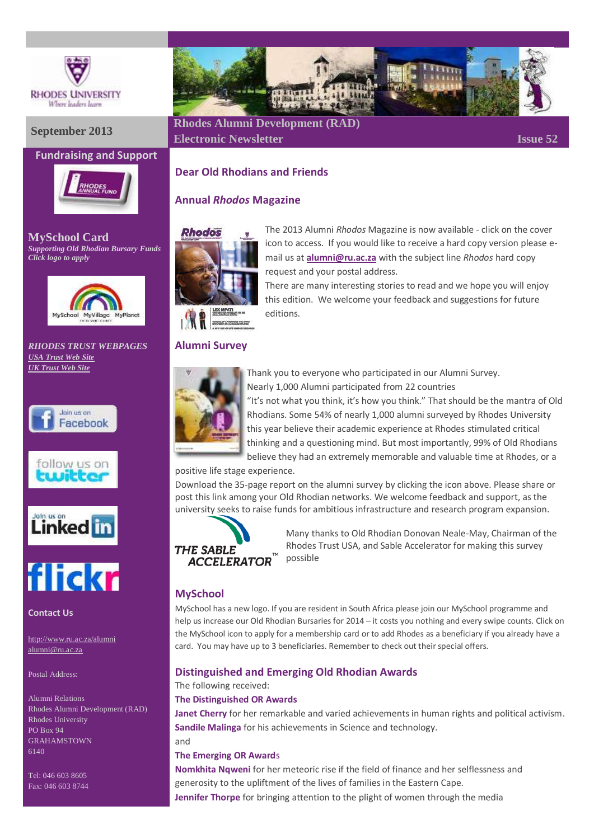

# **Fundraising and Support**



**MySchool Card** *Supporting Old Rhodian Bursary Funds Click logo to apply*



*RHODES TRUST WEBPAGES [USA Trust Web Site](http://www.rhodesalumni.com/) [UK Trust Web Site](http://www.rhodesalumni.co.uk/)*







**Contact Us**

<http://www.ru.ac.za/alumni> [alumni@ru.ac.za](mailto:alumni@ru.ac.za)

Postal Address:

Alumni Relations Rhodes Alumni Development (RAD) Rhodes University PO Box 94 GRAHAMSTOWN 6140

Tel: 046 603 8605 Fax: 046 603 8744



# **September <sup>2013</sup> Rhodes Alumni Development (RAD) Electronic Newsletter Issue 52**

# **Dear Old Rhodians and Friends**

# **Annual** *Rhodos* **Magazine**



The 2013 Alumni *Rhodos* Magazine is now available - click on the cover icon to access. If you would like to receive a hard copy version please email us at **[alumni@ru.ac.za](mailto:alumni@ru.ac.za)** with the subject line *Rhodos* hard copy request and your postal address.

There are many interesting stories to read and we hope you will enjoy this edition. We welcome your feedback and suggestions for future editions.

# **Alumni Survey**



Thank you to everyone who participated in our Alumni Survey. Nearly 1,000 Alumni participated from 22 countries "It's not what you think, it's how you think." That should be the mantra of Old Rhodians. Some 54% of nearly 1,000 alumni surveyed by Rhodes University this year believe their academic experience at Rhodes stimulated critical

thinking and a questioning mind. But most importantly, 99% of Old Rhodians believe they had an extremely memorable and valuable time at Rhodes, or a

positive life stage experience.

Download the 35-page report on the alumni survey by clicking the icon above. Please share or post this link among your Old Rhodian networks. We welcome feedback and support, as the university seeks to raise funds for ambitious infrastructure and research program expansion.



Many thanks to Old Rhodian Donovan Neale-May, Chairman of the Rhodes Trust USA, and Sable Accelerator for making this survey possible

# **MySchool**

MySchool has a new logo. If you are resident in South Africa please join our MySchool programme and help us increase our Old Rhodian Bursaries for 2014 – it costs you nothing and every swipe counts. Click on the MySchool icon to apply for a membership card or to add Rhodes as a beneficiary if you already have a card. You may have up to 3 beneficiaries. Remember to check out their special offers.

# **Distinguished and Emerging Old Rhodian Awards**

The following received:

#### **The Distinguished OR Awards**

**Janet Cherry** for her remarkable and varied achievements in human rights and political activism. **Sandile Malinga** for his achievements in Science and technology.

and

#### **The Emerging OR Award**s

**Nomkhita Nqweni** for her meteoric rise if the field of finance and her selflessness and generosity to the upliftment of the lives of families in the Eastern Cape. **Jennifer Thorpe** for bringing attention to the plight of women through the media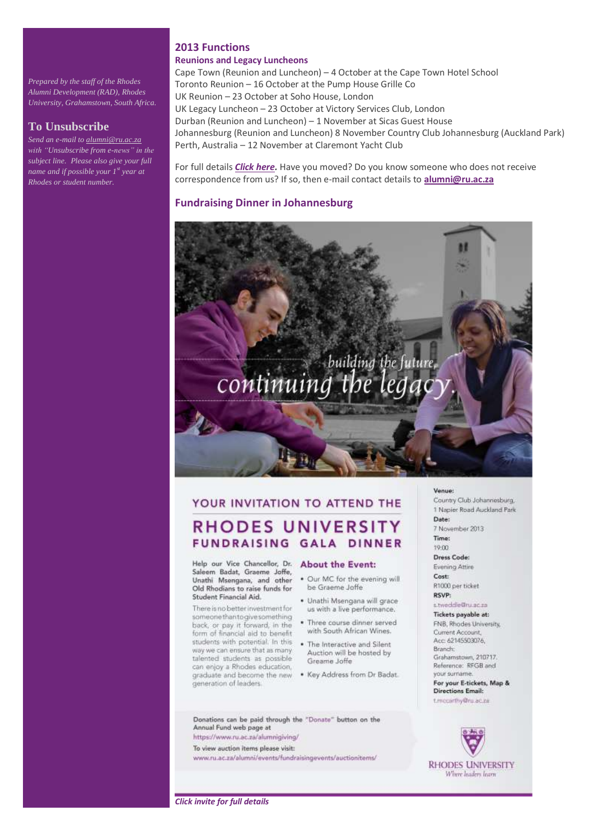*Prepared by the staff of the Rhodes Alumni Development (RAD), Rhodes University, Grahamstown, South Africa.*

#### **To Unsubscribe**

*Send an e-mail t[o alumni@ru.ac.za](mailto:alumni@ru.ac.za) with "Unsubscribe from e-news" in the subject line. Please also give your full name and if possible your 1st year at Rhodes or student number.* 

#### **2013 Functions**

#### **Reunions and Legacy Luncheons**

Cape Town (Reunion and Luncheon) – 4 October at the Cape Town Hotel School Toronto Reunion – 16 October at the Pump House Grille Co UK Reunion – 23 October at Soho House, London UK Legacy Luncheon – 23 October at Victory Services Club, London Durban (Reunion and Luncheon) – 1 November at Sicas Guest House Johannesburg (Reunion and Luncheon) 8 November Country Club Johannesburg (Auckland Park) Perth, Australia – 12 November at Claremont Yacht Club

For full details *[Click here.](http://www.ru.ac.za/alumni/events/)* Have you moved? Do you know someone who does not receive correspondence from us? If so, then e-mail contact details to **[alumni@ru.ac.za](mailto:alumni@ru.ac.za)**

#### **Fundraising Dinner in Johannesburg**

# building the future, continuin

# YOUR INVITATION TO ATTEND THE **RHODES UNIVERSITY**

FUNDRAISING GALA DINNER

Help our Vice Chancellor, Dr. Saleem Badat, Graeme Joffe, Unathi Msengana, and other Old Rhodians to raise funds for Student Financial Aid.

There is no better investment for someone than to give something back, or pay it forward, in the form of financial aid to benefit students with potential. In this way we can ensure that as many talented students as possible can enjoy a Rhodes education, graduate and become the new generation of leaders.

#### **About the Event:**

- . Our MC for the evening will be Graeme Joffe
- · Unathi Msengana will grace us with a live performance.
- . Three course dinner served with South African Wines.
- . The Interactive and Silent Auction will be hosted by Greame Joffe
- . Key Address from Dr Badat.

#### Donations can be paid through the "Donate" button on the Annual Fund web page at

https://www.ru.ac.za/alumnigiving/ To view auction items please visit:

www.ru.ac.za/alumni/events/fundraisingevents/auctionitems/

#### Venue:

Country Club Johannesburg, 1 Napier Road Auckland Park Date:

7 November 2013

#### Time:

 $10 - 00$ Dress Code: Evening Attire Cost R1000 per ticket RSVP:

s.tweddle@ru.ac.za

#### Tickets payable at:

FNB, Rhodes University, Current Account, Acc: 62145503076. Branch: Grahamstown, 210717. Reference: RFGB and your surnam For your E-tickets, Map &

**Directions Email:** t.mccarthy@ru.ac.za



*Click invite for full details*